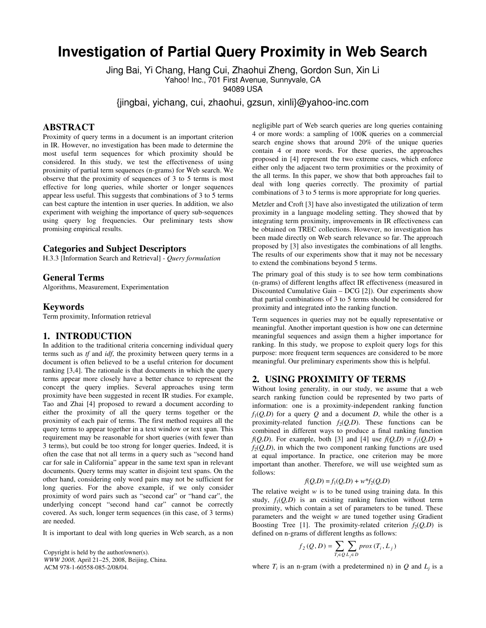# **Investigation of Partial Query Proximity in Web Search**

Jing Bai, Yi Chang, Hang Cui, Zhaohui Zheng, Gordon Sun, Xin Li

Yahoo! Inc., 701 First Avenue, Sunnyvale, CA

94089 USA

{jingbai, yichang, cui, zhaohui, gzsun, xinli}@yahoo-inc.com

# **ABSTRACT**

Proximity of query terms in a document is an important criterion in IR. However, no investigation has been made to determine the most useful term sequences for which proximity should be considered. In this study, we test the effectiveness of using proximity of partial term sequences (n-grams) for Web search. We observe that the proximity of sequences of 3 to 5 terms is most effective for long queries, while shorter or longer sequences appear less useful. This suggests that combinations of 3 to 5 terms can best capture the intention in user queries. In addition, we also experiment with weighing the importance of query sub-sequences using query log frequencies. Our preliminary tests show promising empirical results.

## **Categories and Subject Descriptors**

H.3.3 [Information Search and Retrieval] - *Query formulation* 

## **General Terms**

Algorithms, Measurement, Experimentation

## **Keywords**

Term proximity, Information retrieval

# **1. INTRODUCTION**

In addition to the traditional criteria concerning individual query terms such as *tf* and *idf*, the proximity between query terms in a document is often believed to be a useful criterion for document ranking [3,4]. The rationale is that documents in which the query terms appear more closely have a better chance to represent the concept the query implies. Several approaches using term proximity have been suggested in recent IR studies. For example, Tao and Zhai [4] proposed to reward a document according to either the proximity of all the query terms together or the proximity of each pair of terms. The first method requires all the query terms to appear together in a text window or text span. This requirement may be reasonable for short queries (with fewer than 3 terms), but could be too strong for longer queries. Indeed, it is often the case that not all terms in a query such as "second hand car for sale in California" appear in the same text span in relevant documents. Query terms may scatter in disjoint text spans. On the other hand, considering only word pairs may not be sufficient for long queries. For the above example, if we only consider proximity of word pairs such as "second car" or "hand car", the underlying concept "second hand car" cannot be correctly covered. As such, longer term sequences (in this case, of 3 terms) are needed.

It is important to deal with long queries in Web search, as a non

Copyright is held by the author/owner(s). *WWW 2008,* April 21–25, 2008, Beijing, China. ACM 978-1-60558-085-2/08/04.

negligible part of Web search queries are long queries containing 4 or more words: a sampling of 100K queries on a commercial search engine shows that around 20% of the unique queries contain 4 or more words. For these queries, the approaches proposed in [4] represent the two extreme cases, which enforce either only the adjacent two term proximities or the proximity of the all terms. In this paper, we show that both approaches fail to deal with long queries correctly. The proximity of partial combinations of 3 to 5 terms is more appropriate for long queries.

Metzler and Croft [3] have also investigated the utilization of term proximity in a language modeling setting. They showed that by integrating term proximity, improvements in IR effectiveness can be obtained on TREC collections. However, no investigation has been made directly on Web search relevance so far. The approach proposed by [3] also investigates the combinations of all lengths. The results of our experiments show that it may not be necessary to extend the combinations beyond 5 terms.

The primary goal of this study is to see how term combinations (n-grams) of different lengths affect IR effectiveness (measured in Discounted Cumulative Gain – DCG [2]). Our experiments show that partial combinations of 3 to 5 terms should be considered for proximity and integrated into the ranking function.

Term sequences in queries may not be equally representative or meaningful. Another important question is how one can determine meaningful sequences and assign them a higher importance for ranking. In this study, we propose to exploit query logs for this purpose: more frequent term sequences are considered to be more meaningful. Our preliminary experiments show this is helpful.

# **2. USING PROXIMITY OF TERMS**

Without losing generality, in our study, we assume that a web search ranking function could be represented by two parts of information: one is a proximity-independent ranking function *f*1 (*Q,D*) for a query *Q* and a document *D*, while the other is a proximity-related function  $f_2(Q, D)$ . These functions can be combined in different ways to produce a final ranking function *f*(*Q,D*). For example, both [3] and [4] use  $f(Q, D) = f_1(Q, D) + f_2(Q, D)$  $f_2(Q, D)$ , in which the two component ranking functions are used at equal importance. In practice, one criterion may be more important than another. Therefore, we will use weighted sum as follows:

$$
f(Q, D) = f_1(Q, D) + w^* f_2(Q, D)
$$

The relative weight  $w$  is to be tuned using training data. In this study,  $f_1(Q, D)$  is an existing ranking function without term proximity, which contain a set of parameters to be tuned. These parameters and the weight *w* are tuned together using Gradient Boosting Tree [1]. The proximity-related criterion  $f_2(Q, D)$  is defined on n-grams of different lengths as follows:

$$
f_2(Q, D) = \sum_{T_i \in Q} \sum_{L_j \in D} prox(T_i, L_j)
$$

where  $T_i$  is an n-gram (with a predetermined n) in  $Q$  and  $L_j$  is a